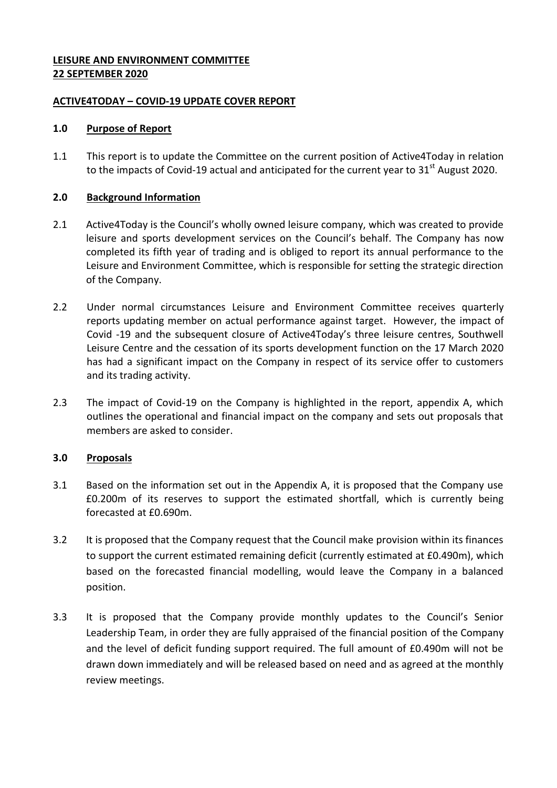## **LEISURE AND ENVIRONMENT COMMITTEE 22 SEPTEMBER 2020**

#### **ACTIVE4TODAY – COVID-19 UPDATE COVER REPORT**

## **1.0 Purpose of Report**

1.1 This report is to update the Committee on the current position of Active4Today in relation to the impacts of Covid-19 actual and anticipated for the current year to  $31<sup>st</sup>$  August 2020.

## **2.0 Background Information**

- 2.1 Active4Today is the Council's wholly owned leisure company, which was created to provide leisure and sports development services on the Council's behalf. The Company has now completed its fifth year of trading and is obliged to report its annual performance to the Leisure and Environment Committee, which is responsible for setting the strategic direction of the Company.
- 2.2 Under normal circumstances Leisure and Environment Committee receives quarterly reports updating member on actual performance against target. However, the impact of Covid -19 and the subsequent closure of Active4Today's three leisure centres, Southwell Leisure Centre and the cessation of its sports development function on the 17 March 2020 has had a significant impact on the Company in respect of its service offer to customers and its trading activity.
- 2.3 The impact of Covid-19 on the Company is highlighted in the report, appendix A, which outlines the operational and financial impact on the company and sets out proposals that members are asked to consider.

# **3.0 Proposals**

- 3.1 Based on the information set out in the Appendix A, it is proposed that the Company use £0.200m of its reserves to support the estimated shortfall, which is currently being forecasted at £0.690m.
- 3.2 It is proposed that the Company request that the Council make provision within its finances to support the current estimated remaining deficit (currently estimated at £0.490m), which based on the forecasted financial modelling, would leave the Company in a balanced position.
- 3.3 It is proposed that the Company provide monthly updates to the Council's Senior Leadership Team, in order they are fully appraised of the financial position of the Company and the level of deficit funding support required. The full amount of £0.490m will not be drawn down immediately and will be released based on need and as agreed at the monthly review meetings.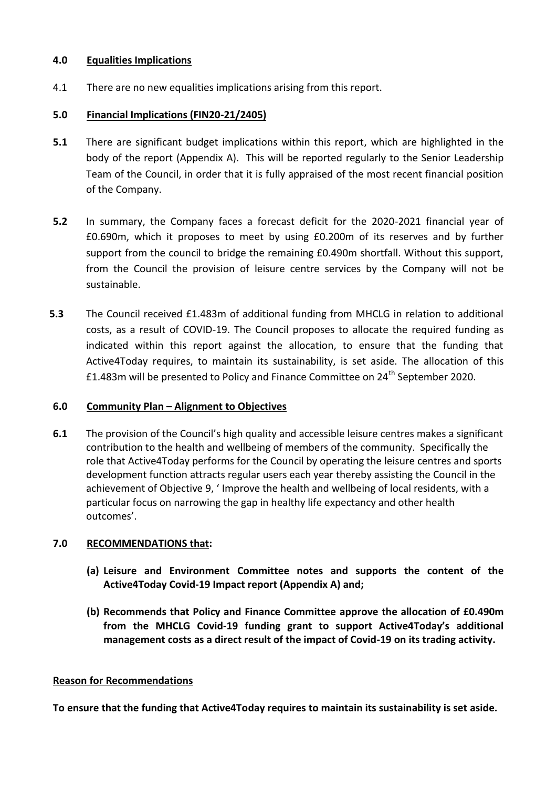## **4.0 Equalities Implications**

4.1 There are no new equalities implications arising from this report.

## **5.0 Financial Implications (FIN20-21/2405)**

- **5.1** There are significant budget implications within this report, which are highlighted in the body of the report (Appendix A). This will be reported regularly to the Senior Leadership Team of the Council, in order that it is fully appraised of the most recent financial position of the Company.
- **5.2** In summary, the Company faces a forecast deficit for the 2020-2021 financial year of £0.690m, which it proposes to meet by using £0.200m of its reserves and by further support from the council to bridge the remaining £0.490m shortfall. Without this support, from the Council the provision of leisure centre services by the Company will not be sustainable.
- **5.3** The Council received £1.483m of additional funding from MHCLG in relation to additional costs, as a result of COVID-19. The Council proposes to allocate the required funding as indicated within this report against the allocation, to ensure that the funding that Active4Today requires, to maintain its sustainability, is set aside. The allocation of this £1.483m will be presented to Policy and Finance Committee on  $24<sup>th</sup>$  September 2020.

# **6.0 Community Plan – Alignment to Objectives**

**6.1** The provision of the Council's high quality and accessible leisure centres makes a significant contribution to the health and wellbeing of members of the community. Specifically the role that Active4Today performs for the Council by operating the leisure centres and sports development function attracts regular users each year thereby assisting the Council in the achievement of Objective 9, ' Improve the health and wellbeing of local residents, with a particular focus on narrowing the gap in healthy life expectancy and other health outcomes'.

# **7.0 RECOMMENDATIONS that:**

- **(a) Leisure and Environment Committee notes and supports the content of the Active4Today Covid-19 Impact report (Appendix A) and;**
- **(b) Recommends that Policy and Finance Committee approve the allocation of £0.490m from the MHCLG Covid-19 funding grant to support Active4Today's additional management costs as a direct result of the impact of Covid-19 on its trading activity.**

# **Reason for Recommendations**

**To ensure that the funding that Active4Today requires to maintain its sustainability is set aside.**